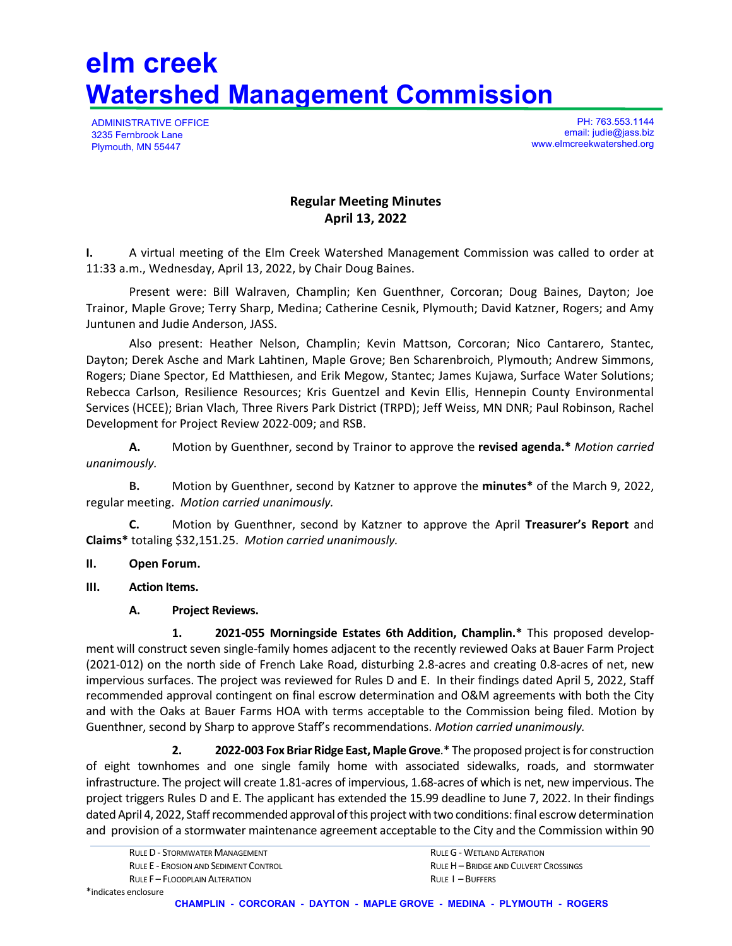# **elm creek Watershed Management Commission**

ADMINISTRATIVE OFFICE 3235 Fernbrook Lane Plymouth, MN 55447

PH: 763.553.1144 email: judie@jass.biz www.elmcreekwatershed.org

# **Regular Meeting Minutes April 13, 2022**

**I.** A virtual meeting of the Elm Creek Watershed Management Commission was called to order at 11:33 a.m., Wednesday, April 13, 2022, by Chair Doug Baines.

Present were: Bill Walraven, Champlin; Ken Guenthner, Corcoran; Doug Baines, Dayton; Joe Trainor, Maple Grove; Terry Sharp, Medina; Catherine Cesnik, Plymouth; David Katzner, Rogers; and Amy Juntunen and Judie Anderson, JASS.

Also present: Heather Nelson, Champlin; Kevin Mattson, Corcoran; Nico Cantarero, Stantec, Dayton; Derek Asche and Mark Lahtinen, Maple Grove; Ben Scharenbroich, Plymouth; Andrew Simmons, Rogers; Diane Spector, Ed Matthiesen, and Erik Megow, Stantec; James Kujawa, Surface Water Solutions; Rebecca Carlson, Resilience Resources; Kris Guentzel and Kevin Ellis, Hennepin County Environmental Services (HCEE); Brian Vlach, Three Rivers Park District (TRPD); Jeff Weiss, MN DNR; Paul Robinson, Rachel Development for Project Review 2022‐009; and RSB.

**A.** Motion by Guenthner, second by Trainor to approve the **revised agenda.\*** *Motion carried unanimously.* 

**B.** Motion by Guenthner, second by Katzner to approve the **minutes\*** of the March 9, 2022, regular meeting. *Motion carried unanimously.*

**C.** Motion by Guenthner, second by Katzner to approve the April **Treasurer's Report** and **Claims\*** totaling \$32,151.25. *Motion carried unanimously.*

- **II. Open Forum.**
- **III. Action Items.**
	- **A. Project Reviews.**

**1. 2021‐055 Morningside Estates 6th Addition, Champlin.\*** This proposed develop‐ ment will construct seven single‐family homes adjacent to the recently reviewed Oaks at Bauer Farm Project (2021‐012) on the north side of French Lake Road, disturbing 2.8‐acres and creating 0.8‐acres of net, new impervious surfaces. The project was reviewed for Rules D and E. In their findings dated April 5, 2022, Staff recommended approval contingent on final escrow determination and O&M agreements with both the City and with the Oaks at Bauer Farms HOA with terms acceptable to the Commission being filed. Motion by Guenthner, second by Sharp to approve Staff's recommendations. *Motion carried unanimously.*

 **2. 2022‐003 Fox Briar Ridge East,MapleGrove**.\* The proposed projectisfor construction of eight townhomes and one single family home with associated sidewalks, roads, and stormwater infrastructure. The project will create 1.81‐acres of impervious, 1.68‐acres of which is net, new impervious. The project triggers Rules D and E. The applicant has extended the 15.99 deadline to June 7, 2022. In their findings dated April 4, 2022, Staff recommended approval of this project with two conditions: final escrow determination and provision of a stormwater maintenance agreement acceptable to the City and the Commission within 90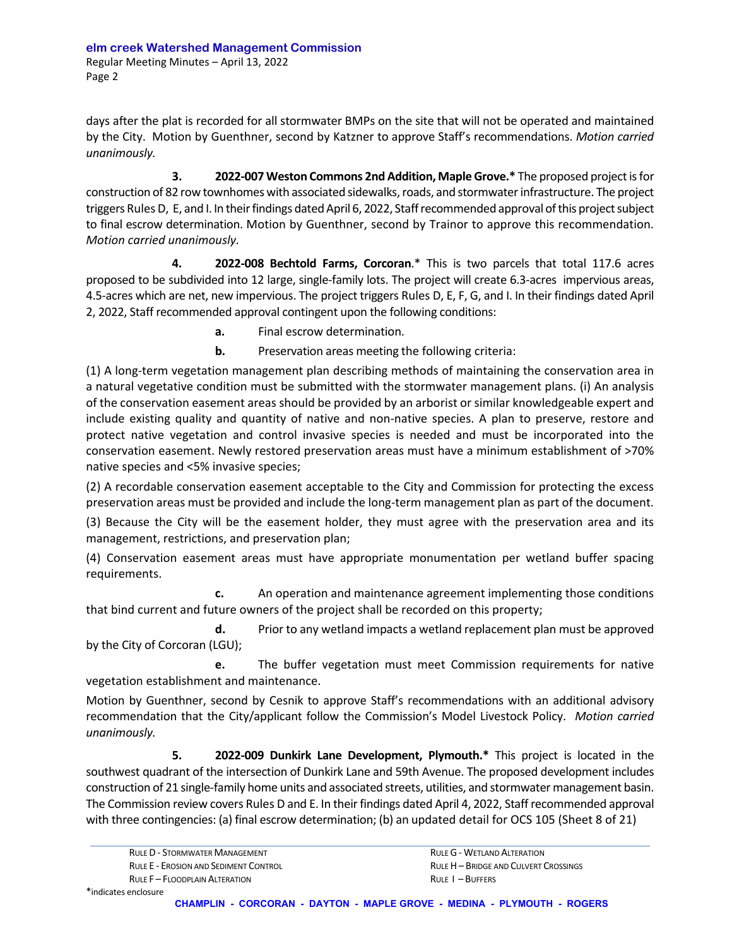days after the plat is recorded for all stormwater BMPs on the site that will not be operated and maintained by the City. Motion by Guenthner, second by Katzner to approve Staff's recommendations. *Motion carried unanimously.*

 **3. 2022‐007 Weston Commons 2nd Addition, MapleGrove.\*** The proposed projectisfor construction of 82 row townhomes with associated sidewalks, roads, and stormwater infrastructure. The project triggers Rules D, E, and I. In their findings dated April 6, 2022, Staff recommended approval of this project subject to final escrow determination. Motion by Guenthner, second by Trainor to approve this recommendation. *Motion carried unanimously.*

**4. 2022‐008 Bechtold Farms, Corcoran**.\* This is two parcels that total 117.6 acres proposed to be subdivided into 12 large, single‐family lots. The project will create 6.3‐acres impervious areas, 4.5‐acres which are net, new impervious. The project triggers Rules D, E, F, G, and I. In their findings dated April 2, 2022, Staff recommended approval contingent upon the following conditions:

**a.** Final escrow determination.

**b.** Preservation areas meeting the following criteria:

(1) A long‐term vegetation management plan describing methods of maintaining the conservation area in a natural vegetative condition must be submitted with the stormwater management plans. (i) An analysis of the conservation easement areas should be provided by an arborist or similar knowledgeable expert and include existing quality and quantity of native and non‐native species. A plan to preserve, restore and protect native vegetation and control invasive species is needed and must be incorporated into the conservation easement. Newly restored preservation areas must have a minimum establishment of >70% native species and <5% invasive species;

(2) A recordable conservation easement acceptable to the City and Commission for protecting the excess preservation areas must be provided and include the long‐term management plan as part of the document.

(3) Because the City will be the easement holder, they must agree with the preservation area and its management, restrictions, and preservation plan;

(4) Conservation easement areas must have appropriate monumentation per wetland buffer spacing requirements.

 **c.** An operation and maintenance agreement implementing those conditions that bind current and future owners of the project shall be recorded on this property;

 **d.** Prior to any wetland impacts a wetland replacement plan must be approved by the City of Corcoran (LGU);

 **e.** The buffer vegetation must meet Commission requirements for native vegetation establishment and maintenance.

Motion by Guenthner, second by Cesnik to approve Staff's recommendations with an additional advisory recommendation that the City/applicant follow the Commission's Model Livestock Policy. *Motion carried unanimously.*

 **5. 2022‐009 Dunkirk Lane Development, Plymouth.\*** This project is located in the southwest quadrant of the intersection of Dunkirk Lane and 59th Avenue. The proposed development includes construction of 21 single-family home units and associated streets, utilities, and stormwater management basin. The Commission review covers Rules D and E. In their findings dated April 4, 2022, Staff recommended approval with three contingencies: (a) final escrow determination; (b) an updated detail for OCS 105 (Sheet 8 of 21)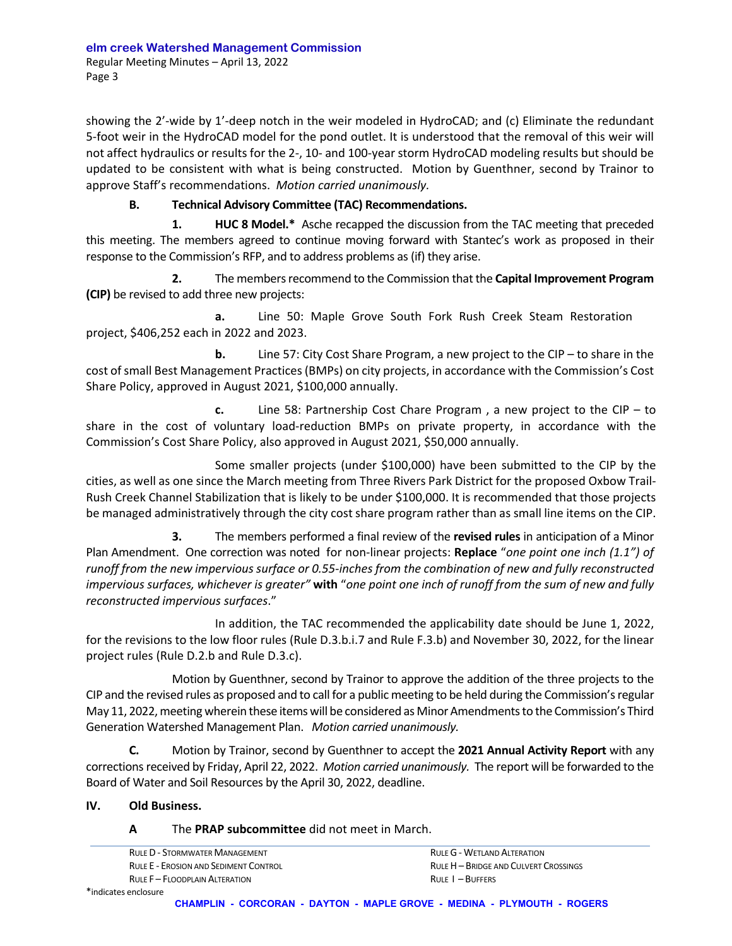showing the 2'-wide by 1'-deep notch in the weir modeled in HydroCAD; and (c) Eliminate the redundant 5‐foot weir in the HydroCAD model for the pond outlet. It is understood that the removal of this weir will not affect hydraulics or results for the 2‐, 10‐ and 100‐year storm HydroCAD modeling results but should be updated to be consistent with what is being constructed. Motion by Guenthner, second by Trainor to approve Staff's recommendations. *Motion carried unanimously.*

# **B. Technical Advisory Committee (TAC) Recommendations.**

**1. HUC 8 Model.\*** Asche recapped the discussion from the TAC meeting that preceded this meeting. The members agreed to continue moving forward with Stantec's work as proposed in their response to the Commission's RFP, and to address problems as (if) they arise.

**2.** The membersrecommend to the Commission that the **Capital Improvement Program (CIP)** be revised to add three new projects:

 **a.** Line 50: Maple Grove South Fork Rush Creek Steam Restoration project, \$406,252 each in 2022 and 2023.

 **b.** Line 57: City Cost Share Program, a new project to the CIP – to share in the cost ofsmall Best Management Practices(BMPs) on city projects, in accordance with the Commission's Cost Share Policy, approved in August 2021, \$100,000 annually.

 **c.** Line 58: Partnership Cost Chare Program , a new project to the CIP – to share in the cost of voluntary load-reduction BMPs on private property, in accordance with the Commission's Cost Share Policy, also approved in August 2021, \$50,000 annually.

Some smaller projects (under \$100,000) have been submitted to the CIP by the cities, as well as one since the March meeting from Three Rivers Park District for the proposed Oxbow Trail‐ Rush Creek Channel Stabilization that is likely to be under \$100,000. It is recommended that those projects be managed administratively through the city cost share program rather than as small line items on the CIP.

**3.** The members performed a final review of the **revised rules** in anticipation of a Minor Plan Amendment. One correction was noted for non‐linear projects: **Replace** "*one point one inch (1.1") of* runoff from the new impervious surface or 0.55-inches from the combination of new and fully reconstructed impervious surfaces, whichever is greater" with "one point one inch of runoff from the sum of new and fully *reconstructed impervious surfaces*."

 In addition, the TAC recommended the applicability date should be June 1, 2022, for the revisions to the low floor rules (Rule D.3.b.i.7 and Rule F.3.b) and November 30, 2022, for the linear project rules (Rule D.2.b and Rule D.3.c).

Motion by Guenthner, second by Trainor to approve the addition of the three projects to the CIP and the revised rules as proposed and to call for a public meeting to be held during the Commission'sregular May 11, 2022, meeting wherein these items will be considered as Minor Amendments to the Commission's Third Generation Watershed Management Plan. *Motion carried unanimously.*

**C.** Motion by Trainor, second by Guenthner to accept the **2021 Annual Activity Report** with any corrections received by Friday, April 22, 2022. *Motion carried unanimously*. The report will be forwarded to the Board of Water and Soil Resources by the April 30, 2022, deadline.

**IV. Old Business.**

### **A** The **PRAP subcommittee** did not meet in March.

RULE D - STORMWATER MANAGEMENT **STATE AND A CONSTRUES A STATE A CONSTRUES** RULE G - WETLAND ALTERATION RULE E – EROSION AND SEDIMENT CONTROL **EXECUTE AND SEDIMENT CONTROL** BLUEH – BRIDGE AND CULVERT CROSSINGS RULE F – FLOODPLAIN ALTERATION **BULE I – BUFFERS RULE I – BUFFERS**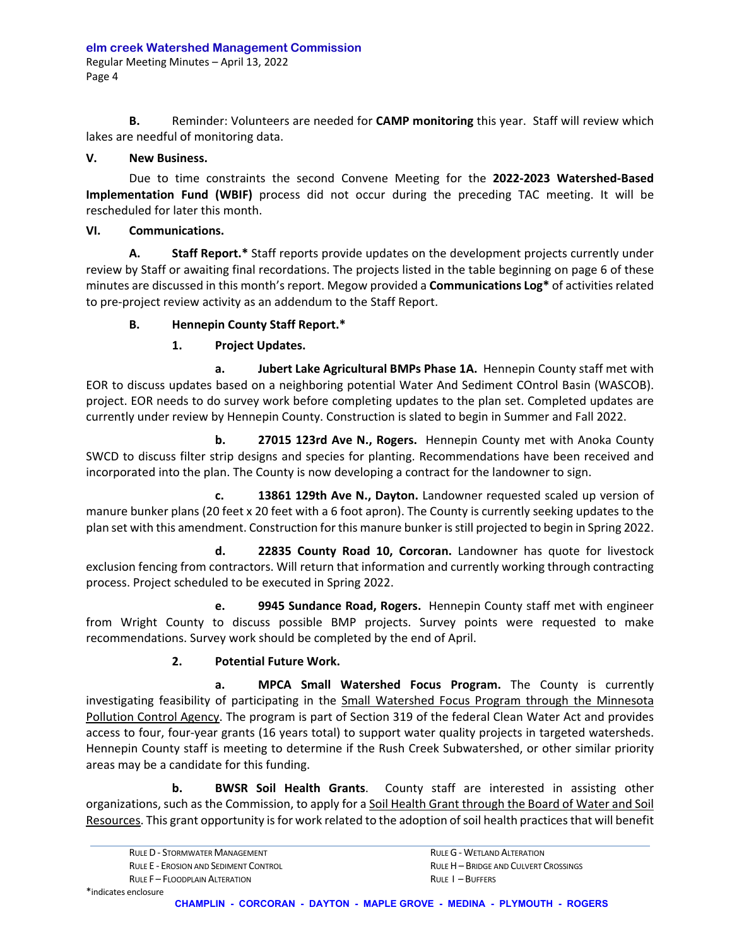**B.** Reminder: Volunteers are needed for **CAMP monitoring** this year. Staff will review which lakes are needful of monitoring data.

# **V. New Business.**

Due to time constraints the second Convene Meeting for the **2022‐2023 Watershed‐Based Implementation Fund (WBIF)** process did not occur during the preceding TAC meeting. It will be rescheduled for later this month.

# **VI. Communications.**

**A. Staff Report.\*** Staff reports provide updates on the development projects currently under review by Staff or awaiting final recordations. The projects listed in the table beginning on page 6 of these minutes are discussed in this month's report. Megow provided a **Communications Log\*** of activities related to pre‐project review activity as an addendum to the Staff Report.

# **B. Hennepin County Staff Report.\***

# **1. Project Updates.**

**a. Jubert Lake Agricultural BMPs Phase 1A.** Hennepin County staff met with EOR to discuss updates based on a neighboring potential Water And Sediment COntrol Basin (WASCOB). project. EOR needs to do survey work before completing updates to the plan set. Completed updates are currently under review by Hennepin County. Construction is slated to begin in Summer and Fall 2022.

**b. 27015 123rd Ave N., Rogers.** Hennepin County met with Anoka County SWCD to discuss filter strip designs and species for planting. Recommendations have been received and incorporated into the plan. The County is now developing a contract for the landowner to sign.

**c. 13861 129th Ave N., Dayton.** Landowner requested scaled up version of manure bunker plans (20 feet x 20 feet with a 6 foot apron). The County is currently seeking updates to the plan set with this amendment. Construction for this manure bunker isstill projected to begin in Spring 2022.

**d. 22835 County Road 10, Corcoran.** Landowner has quote for livestock exclusion fencing from contractors. Will return that information and currently working through contracting process. Project scheduled to be executed in Spring 2022.

**e. 9945 Sundance Road, Rogers.** Hennepin County staff met with engineer from Wright County to discuss possible BMP projects. Survey points were requested to make recommendations. Survey work should be completed by the end of April.

# **2. Potential Future Work.**

 **a. MPCA Small Watershed Focus Program.** The County is currently investigating feasibility of participating in the Small Watershed Focus Program through the Minnesota Pollution Control Agency. The program is part of Section 319 of the federal Clean Water Act and provides access to four, four‐year grants (16 years total) to support water quality projects in targeted watersheds. Hennepin County staff is meeting to determine if the Rush Creek Subwatershed, or other similar priority areas may be a candidate for this funding.

 **b. BWSR Soil Health Grants**. County staff are interested in assisting other organizations, such as the Commission, to apply for a Soil Health Grant through the Board of Water and Soil Resources. This grant opportunity is for work related to the adoption of soil health practices that will benefit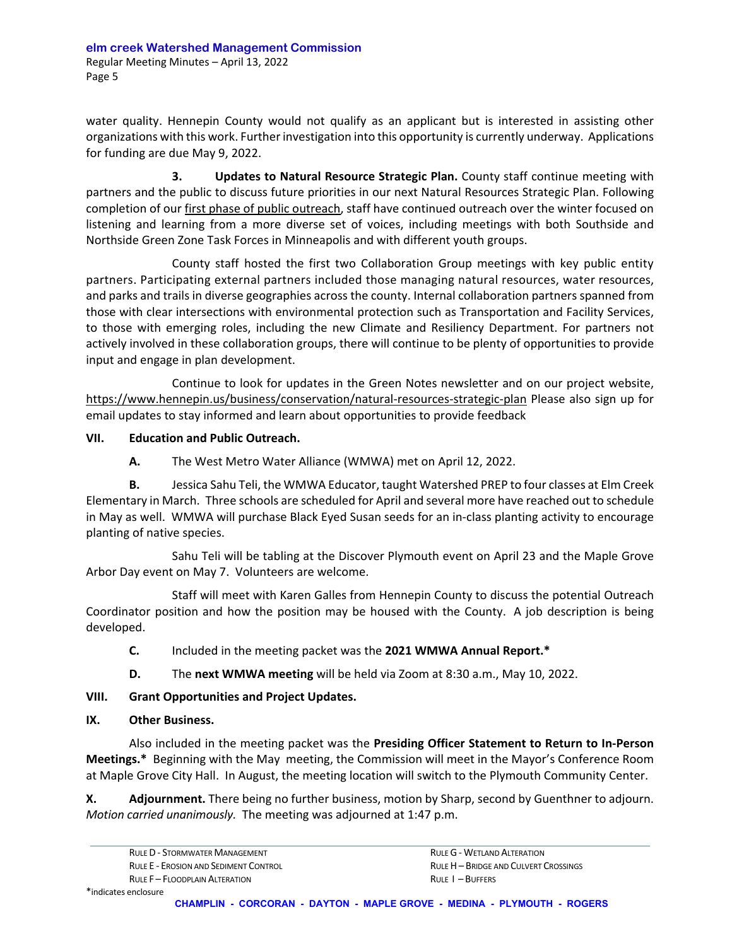water quality. Hennepin County would not qualify as an applicant but is interested in assisting other organizations with this work. Further investigation into this opportunity is currently underway. Applications for funding are due May 9, 2022.

**3. Updates to Natural Resource Strategic Plan.** County staff continue meeting with partners and the public to discuss future priorities in our next Natural Resources Strategic Plan. Following completion of our first phase of public outreach, staff have continued outreach over the winter focused on listening and learning from a more diverse set of voices, including meetings with both Southside and Northside Green Zone Task Forces in Minneapolis and with different youth groups.

 County staff hosted the first two Collaboration Group meetings with key public entity partners. Participating external partners included those managing natural resources, water resources, and parks and trails in diverse geographies across the county. Internal collaboration partners spanned from those with clear intersections with environmental protection such as Transportation and Facility Services, to those with emerging roles, including the new Climate and Resiliency Department. For partners not actively involved in these collaboration groups, there will continue to be plenty of opportunities to provide input and engage in plan development.

Continue to look for updates in the Green Notes newsletter and on our project website, https://www.hennepin.us/business/conservation/natural‐resources‐strategic‐plan Please also sign up for email updates to stay informed and learn about opportunities to provide feedback

# **VII. Education and Public Outreach.**

**A.** The West Metro Water Alliance (WMWA) met on April 12, 2022.

**B.** Jessica Sahu Teli, the WMWA Educator, taught Watershed PREP to four classes at Elm Creek Elementary in March. Three schools are scheduled for April and several more have reached out to schedule in May as well. WMWA will purchase Black Eyed Susan seeds for an in‐class planting activity to encourage planting of native species.

Sahu Teli will be tabling at the Discover Plymouth event on April 23 and the Maple Grove Arbor Day event on May 7. Volunteers are welcome.

Staff will meet with Karen Galles from Hennepin County to discuss the potential Outreach Coordinator position and how the position may be housed with the County. A job description is being developed.

**C.** Included in the meeting packet was the **2021 WMWA Annual Report.\***

**D.** The **next WMWA meeting** will be held via Zoom at 8:30 a.m., May 10, 2022.

# **VIII. Grant Opportunities and Project Updates.**

### **IX. Other Business.**

Also included in the meeting packet was the **Presiding Officer Statement to Return to In‐Person Meetings.\*** Beginning with the May meeting, the Commission will meet in the Mayor's Conference Room at Maple Grove City Hall. In August, the meeting location will switch to the Plymouth Community Center.

**X. Adjournment.** There being no further business, motion by Sharp, second by Guenthner to adjourn. *Motion carried unanimously.* The meeting was adjourned at 1:47 p.m.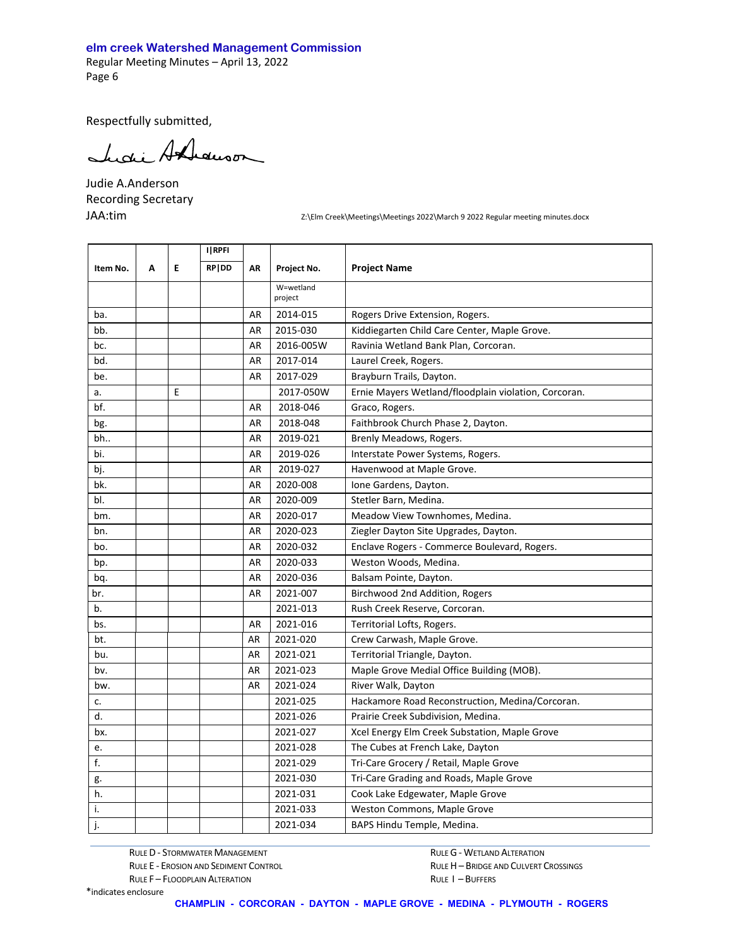#### **elm creek Watershed Management Commission**

Regular Meeting Minutes – April 13, 2022 Page 6

Respectfully submitted,

Lucie Andrewson

Judie A.Anderson Recording Secretary

JAA:tim **Interpretional Creek\Meetings\Meetings** 2022\March 9 2022 Regular meeting minutes.docx

|          |   |   | I RPFI |           |                      |                                                      |
|----------|---|---|--------|-----------|----------------------|------------------------------------------------------|
| Item No. | A | E | RP DD  | AR        | Project No.          | <b>Project Name</b>                                  |
|          |   |   |        |           | W=wetland<br>project |                                                      |
| ba.      |   |   |        | AR        | 2014-015             | Rogers Drive Extension, Rogers.                      |
| bb.      |   |   |        | AR        | 2015-030             | Kiddiegarten Child Care Center, Maple Grove.         |
| bc.      |   |   |        | AR        | 2016-005W            | Ravinia Wetland Bank Plan, Corcoran.                 |
| bd.      |   |   |        | AR        | 2017-014             | Laurel Creek, Rogers.                                |
| be.      |   |   |        | AR        | 2017-029             | Brayburn Trails, Dayton.                             |
| a.       |   | E |        |           | 2017-050W            | Ernie Mayers Wetland/floodplain violation, Corcoran. |
| bf.      |   |   |        | AR        | 2018-046             | Graco, Rogers.                                       |
| bg.      |   |   |        | <b>AR</b> | 2018-048             | Faithbrook Church Phase 2, Dayton.                   |
| bh       |   |   |        | AR        | 2019-021             | Brenly Meadows, Rogers.                              |
| bi.      |   |   |        | AR        | 2019-026             | Interstate Power Systems, Rogers.                    |
| bj.      |   |   |        | <b>AR</b> | 2019-027             | Havenwood at Maple Grove.                            |
| bk.      |   |   |        | <b>AR</b> | 2020-008             | Ione Gardens, Dayton.                                |
| bl.      |   |   |        | AR        | 2020-009             | Stetler Barn, Medina.                                |
| bm.      |   |   |        | AR        | 2020-017             | Meadow View Townhomes, Medina.                       |
| bn.      |   |   |        | AR        | 2020-023             | Ziegler Dayton Site Upgrades, Dayton.                |
| bo.      |   |   |        | AR        | 2020-032             | Enclave Rogers - Commerce Boulevard, Rogers.         |
| bp.      |   |   |        | AR        | 2020-033             | Weston Woods, Medina.                                |
| bq.      |   |   |        | AR        | 2020-036             | Balsam Pointe, Dayton.                               |
| br.      |   |   |        | AR        | 2021-007             | Birchwood 2nd Addition, Rogers                       |
| b.       |   |   |        |           | 2021-013             | Rush Creek Reserve, Corcoran.                        |
| bs.      |   |   |        | AR        | 2021-016             | Territorial Lofts, Rogers.                           |
| bt.      |   |   |        | AR        | 2021-020             | Crew Carwash, Maple Grove.                           |
| bu.      |   |   |        | AR        | 2021-021             | Territorial Triangle, Dayton.                        |
| bv.      |   |   |        | AR        | 2021-023             | Maple Grove Medial Office Building (MOB).            |
| bw.      |   |   |        | AR        | 2021-024             | River Walk, Dayton                                   |
| c.       |   |   |        |           | 2021-025             | Hackamore Road Reconstruction, Medina/Corcoran.      |
| d.       |   |   |        |           | 2021-026             | Prairie Creek Subdivision, Medina.                   |
| bx.      |   |   |        |           | 2021-027             | Xcel Energy Elm Creek Substation, Maple Grove        |
| e.       |   |   |        |           | 2021-028             | The Cubes at French Lake, Dayton                     |
| f.       |   |   |        |           | 2021-029             | Tri-Care Grocery / Retail, Maple Grove               |
| g.       |   |   |        |           | 2021-030             | Tri-Care Grading and Roads, Maple Grove              |
| h.       |   |   |        |           | 2021-031             | Cook Lake Edgewater, Maple Grove                     |
| i.       |   |   |        |           | 2021-033             | Weston Commons, Maple Grove                          |
| j.       |   |   |        |           | 2021-034             | BAPS Hindu Temple, Medina.                           |

RULE D - STORMWATER MANAGEMENT **STATE ALTERATION** RULE G - WETLAND ALTERATION

RULE F – FLOODPLAIN ALTERATION *RULE I – BUFFERS* 

RULE E - EROSION AND SEDIMENT CONTROL **AND SEDIMENT CONTROL BRIDGE AND CULVERT CROSSINGS**